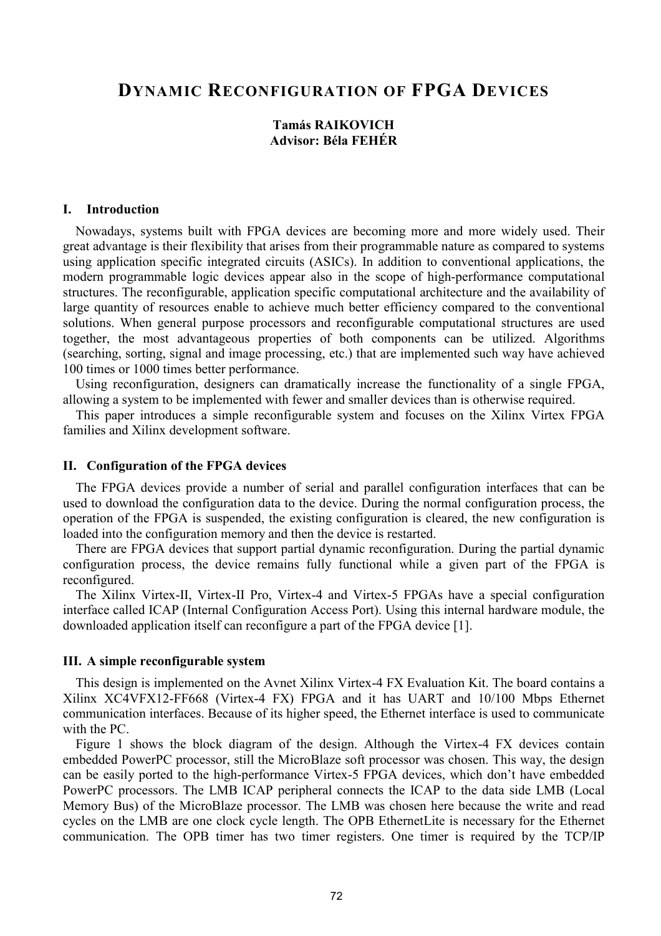# DYNAMIC RECONFIGURATION OF FPGA DEVICES

## Tamás RAIKOVICH Advisor: Béla FEHÉR

#### I. Introduction

Nowadays, systems built with FPGA devices are becoming more and more widely used. Their great advantage is their flexibility that arises from their programmable nature as compared to systems using application specific integrated circuits (ASICs). In addition to conventional applications, the modern programmable logic devices appear also in the scope of high-performance computational structures. The reconfigurable, application specific computational architecture and the availability of large quantity of resources enable to achieve much better efficiency compared to the conventional solutions. When general purpose processors and reconfigurable computational structures are used together, the most advantageous properties of both components can be utilized. Algorithms (searching, sorting, signal and image processing, etc.) that are implemented such way have achieved 100 times or 1000 times better performance.

Using reconfiguration, designers can dramatically increase the functionality of a single FPGA, allowing a system to be implemented with fewer and smaller devices than is otherwise required.

This paper introduces a simple reconfigurable system and focuses on the Xilinx Virtex FPGA families and Xilinx development software.

#### II. Configuration of the FPGA devices

The FPGA devices provide a number of serial and parallel configuration interfaces that can be used to download the configuration data to the device. During the normal configuration process, the operation of the FPGA is suspended, the existing configuration is cleared, the new configuration is loaded into the configuration memory and then the device is restarted.

There are FPGA devices that support partial dynamic reconfiguration. During the partial dynamic configuration process, the device remains fully functional while a given part of the FPGA is reconfigured.

The Xilinx Virtex-II, Virtex-II Pro, Virtex-4 and Virtex-5 FPGAs have a special configuration interface called ICAP (Internal Configuration Access Port). Using this internal hardware module, the downloaded application itself can reconfigure a part of the FPGA device [1].

#### III. A simple reconfigurable system

This design is implemented on the Avnet Xilinx Virtex-4 FX Evaluation Kit. The board contains a Xilinx XC4VFX12-FF668 (Virtex-4 FX) FPGA and it has UART and 10/100 Mbps Ethernet communication interfaces. Because of its higher speed, the Ethernet interface is used to communicate with the PC.

Figure 1 shows the block diagram of the design. Although the Virtex-4 FX devices contain embedded PowerPC processor, still the MicroBlaze soft processor was chosen. This way, the design can be easily ported to the high-performance Virtex-5 FPGA devices, which don't have embedded PowerPC processors. The LMB ICAP peripheral connects the ICAP to the data side LMB (Local Memory Bus) of the MicroBlaze processor. The LMB was chosen here because the write and read cycles on the LMB are one clock cycle length. The OPB EthernetLite is necessary for the Ethernet communication. The OPB timer has two timer registers. One timer is required by the TCP/IP